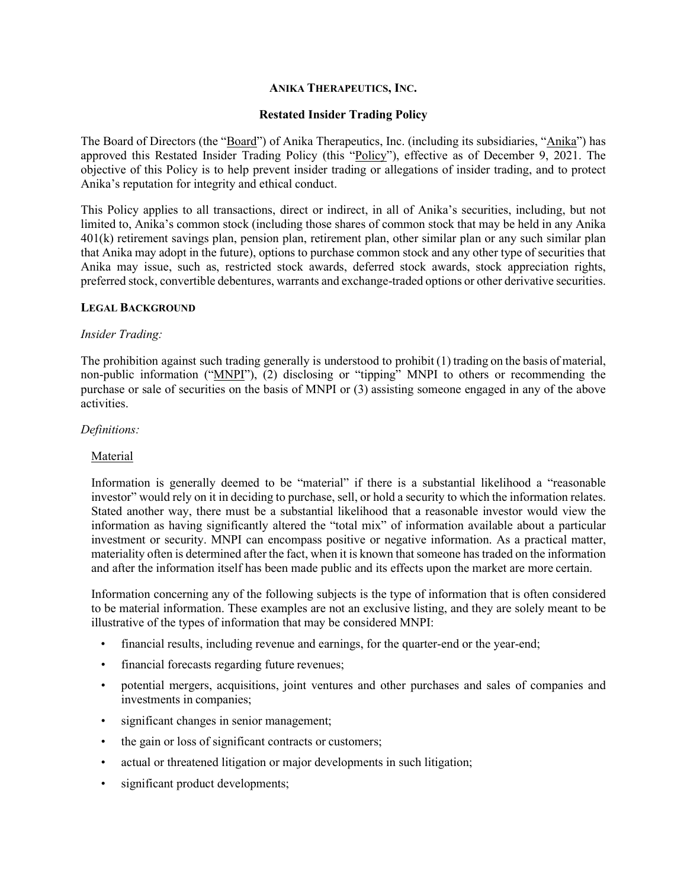#### **ANIKA THERAPEUTICS, INC.**

## **Restated Insider Trading Policy**

The Board of Directors (the "Board") of Anika Therapeutics, Inc. (including its subsidiaries, "Anika") has approved this Restated Insider Trading Policy (this "Policy"), effective as of December 9, 2021. The objective of this Policy is to help prevent insider trading or allegations of insider trading, and to protect Anika's reputation for integrity and ethical conduct.

This Policy applies to all transactions, direct or indirect, in all of Anika's securities, including, but not limited to, Anika's common stock (including those shares of common stock that may be held in any Anika 401(k) retirement savings plan, pension plan, retirement plan, other similar plan or any such similar plan that Anika may adopt in the future), options to purchase common stock and any other type of securities that Anika may issue, such as, restricted stock awards, deferred stock awards, stock appreciation rights, preferred stock, convertible debentures, warrants and exchange-traded options or other derivative securities.

#### **LEGAL BACKGROUND**

#### *Insider Trading:*

The prohibition against such trading generally is understood to prohibit (1) trading on the basis of material, non-public information ("MNPI"), (2) disclosing or "tipping" MNPI to others or recommending the purchase or sale of securities on the basis of MNPI or (3) assisting someone engaged in any of the above activities.

#### *Definitions:*

#### Material

Information is generally deemed to be "material" if there is a substantial likelihood a "reasonable investor" would rely on it in deciding to purchase, sell, or hold a security to which the information relates. Stated another way, there must be a substantial likelihood that a reasonable investor would view the information as having significantly altered the "total mix" of information available about a particular investment or security. MNPI can encompass positive or negative information. As a practical matter, materiality often is determined after the fact, when it is known that someone has traded on the information and after the information itself has been made public and its effects upon the market are more certain.

Information concerning any of the following subjects is the type of information that is often considered to be material information. These examples are not an exclusive listing, and they are solely meant to be illustrative of the types of information that may be considered MNPI:

- financial results, including revenue and earnings, for the quarter-end or the year-end;
- financial forecasts regarding future revenues;
- potential mergers, acquisitions, joint ventures and other purchases and sales of companies and investments in companies;
- significant changes in senior management;
- the gain or loss of significant contracts or customers;
- actual or threatened litigation or major developments in such litigation;
- significant product developments;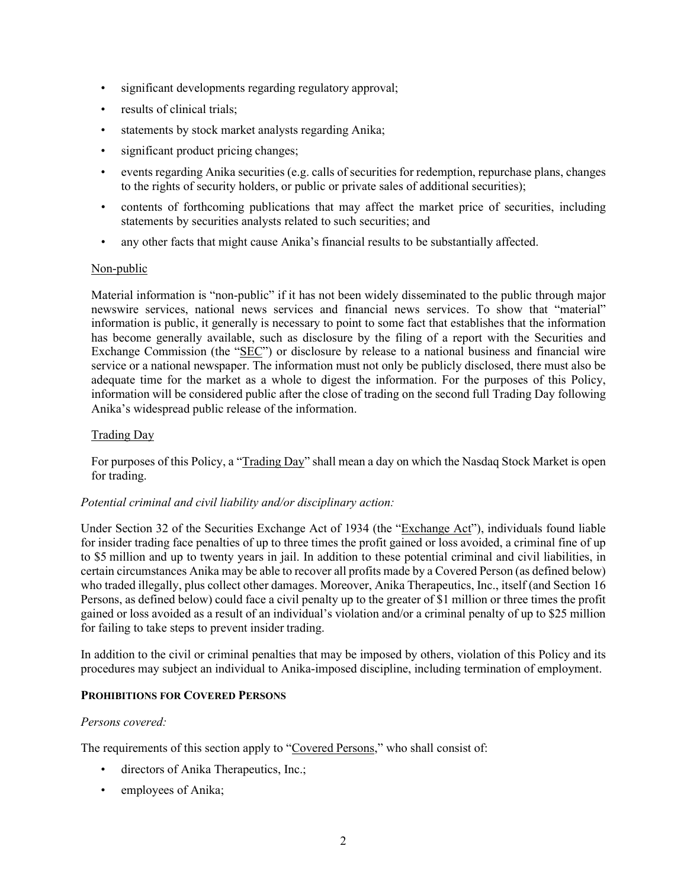- significant developments regarding regulatory approval;
- results of clinical trials;
- statements by stock market analysts regarding Anika;
- significant product pricing changes;
- events regarding Anika securities (e.g. calls of securities for redemption, repurchase plans, changes to the rights of security holders, or public or private sales of additional securities);
- contents of forthcoming publications that may affect the market price of securities, including statements by securities analysts related to such securities; and
- any other facts that might cause Anika's financial results to be substantially affected.

## Non-public

Material information is "non-public" if it has not been widely disseminated to the public through major newswire services, national news services and financial news services. To show that "material" information is public, it generally is necessary to point to some fact that establishes that the information has become generally available, such as disclosure by the filing of a report with the Securities and Exchange Commission (the "SEC") or disclosure by release to a national business and financial wire service or a national newspaper. The information must not only be publicly disclosed, there must also be adequate time for the market as a whole to digest the information. For the purposes of this Policy, information will be considered public after the close of trading on the second full Trading Day following Anika's widespread public release of the information.

# Trading Day

For purposes of this Policy, a "Trading Day" shall mean a day on which the Nasdaq Stock Market is open for trading.

## *Potential criminal and civil liability and/or disciplinary action:*

Under Section 32 of the Securities Exchange Act of 1934 (the "Exchange Act"), individuals found liable for insider trading face penalties of up to three times the profit gained or loss avoided, a criminal fine of up to \$5 million and up to twenty years in jail. In addition to these potential criminal and civil liabilities, in certain circumstances Anika may be able to recover all profits made by a Covered Person (as defined below) who traded illegally, plus collect other damages. Moreover, Anika Therapeutics, Inc., itself (and Section 16 Persons, as defined below) could face a civil penalty up to the greater of \$1 million or three times the profit gained or loss avoided as a result of an individual's violation and/or a criminal penalty of up to \$25 million for failing to take steps to prevent insider trading.

In addition to the civil or criminal penalties that may be imposed by others, violation of this Policy and its procedures may subject an individual to Anika-imposed discipline, including termination of employment.

## **PROHIBITIONS FOR COVERED PERSONS**

## *Persons covered:*

The requirements of this section apply to "Covered Persons," who shall consist of:

- directors of Anika Therapeutics, Inc.;
- employees of Anika;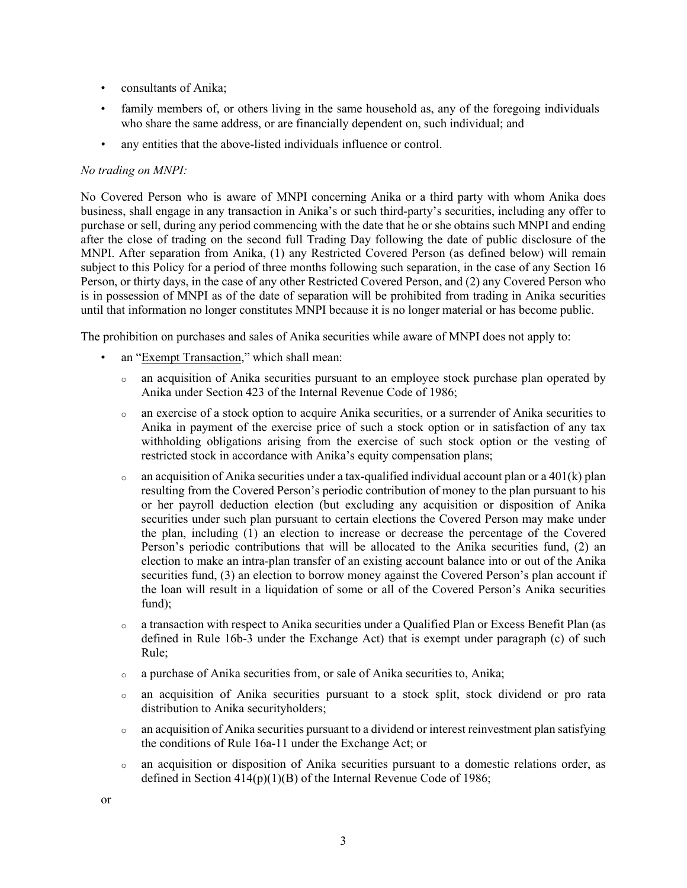- consultants of Anika;
- family members of, or others living in the same household as, any of the foregoing individuals who share the same address, or are financially dependent on, such individual; and
- any entities that the above-listed individuals influence or control.

## *No trading on MNPI:*

No Covered Person who is aware of MNPI concerning Anika or a third party with whom Anika does business, shall engage in any transaction in Anika's or such third-party's securities, including any offer to purchase or sell, during any period commencing with the date that he or she obtains such MNPI and ending after the close of trading on the second full Trading Day following the date of public disclosure of the MNPI. After separation from Anika, (1) any Restricted Covered Person (as defined below) will remain subject to this Policy for a period of three months following such separation, in the case of any Section 16 Person, or thirty days, in the case of any other Restricted Covered Person, and (2) any Covered Person who is in possession of MNPI as of the date of separation will be prohibited from trading in Anika securities until that information no longer constitutes MNPI because it is no longer material or has become public.

The prohibition on purchases and sales of Anika securities while aware of MNPI does not apply to:

- an "Exempt Transaction," which shall mean:
	- <sup>o</sup> an acquisition of Anika securities pursuant to an employee stock purchase plan operated by Anika under Section 423 of the Internal Revenue Code of 1986;
	- <sup>o</sup> an exercise of a stock option to acquire Anika securities, or a surrender of Anika securities to Anika in payment of the exercise price of such a stock option or in satisfaction of any tax withholding obligations arising from the exercise of such stock option or the vesting of restricted stock in accordance with Anika's equity compensation plans;
	- $\circ$  an acquisition of Anika securities under a tax-qualified individual account plan or a 401(k) plan resulting from the Covered Person's periodic contribution of money to the plan pursuant to his or her payroll deduction election (but excluding any acquisition or disposition of Anika securities under such plan pursuant to certain elections the Covered Person may make under the plan, including (1) an election to increase or decrease the percentage of the Covered Person's periodic contributions that will be allocated to the Anika securities fund, (2) an election to make an intra-plan transfer of an existing account balance into or out of the Anika securities fund, (3) an election to borrow money against the Covered Person's plan account if the loan will result in a liquidation of some or all of the Covered Person's Anika securities fund);
	- $\circ$  a transaction with respect to Anika securities under a Qualified Plan or Excess Benefit Plan (as defined in Rule 16b-3 under the Exchange Act) that is exempt under paragraph (c) of such Rule;
	- <sup>o</sup> a purchase of Anika securities from, or sale of Anika securities to, Anika;
	- <sup>o</sup> an acquisition of Anika securities pursuant to a stock split, stock dividend or pro rata distribution to Anika securityholders;
	- $\circ$  an acquisition of Anika securities pursuant to a dividend or interest reinvestment plan satisfying the conditions of Rule 16a-11 under the Exchange Act; or
	- <sup>o</sup> an acquisition or disposition of Anika securities pursuant to a domestic relations order, as defined in Section 414(p)(1)(B) of the Internal Revenue Code of 1986;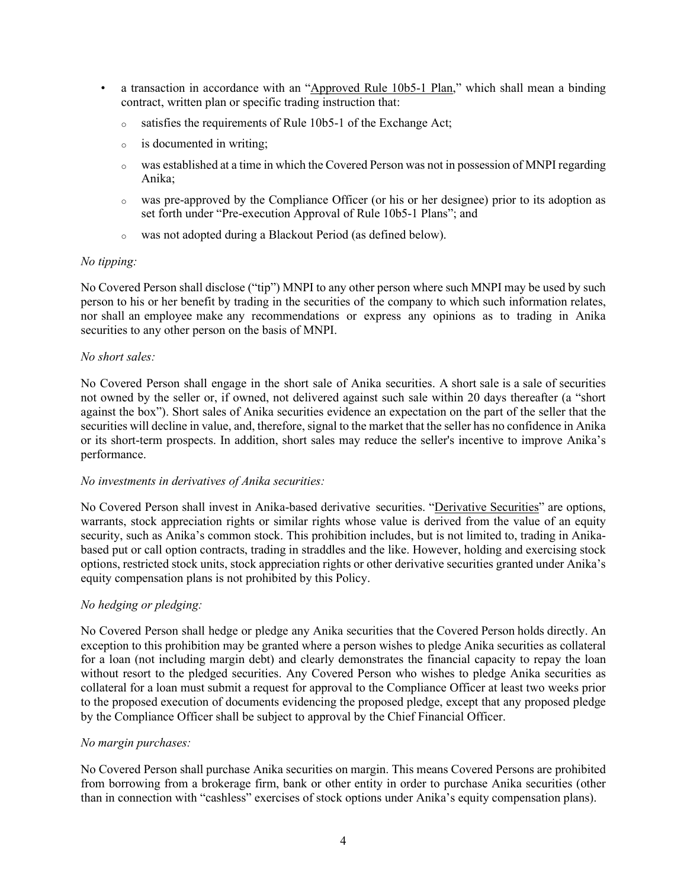- a transaction in accordance with an "Approved Rule 10b5-1 Plan," which shall mean a binding contract, written plan or specific trading instruction that:
	- <sup>o</sup> satisfies the requirements of Rule 10b5-1 of the Exchange Act;
	- <sup>o</sup> is documented in writing;
	- <sup>o</sup> was established at a time in which the Covered Person was not in possession of MNPI regarding Anika;
	- <sup>o</sup> was pre-approved by the Compliance Officer (or his or her designee) prior to its adoption as set forth under "Pre-execution Approval of Rule 10b5-1 Plans"; and
	- <sup>o</sup> was not adopted during a Blackout Period (as defined below).

## *No tipping:*

No Covered Person shall disclose ("tip") MNPI to any other person where such MNPI may be used by such person to his or her benefit by trading in the securities of the company to which such information relates, nor shall an employee make any recommendations or express any opinions as to trading in Anika securities to any other person on the basis of MNPI.

## *No short sales:*

No Covered Person shall engage in the short sale of Anika securities. A short sale is a sale of securities not owned by the seller or, if owned, not delivered against such sale within 20 days thereafter (a "short against the box"). Short sales of Anika securities evidence an expectation on the part of the seller that the securities will decline in value, and, therefore, signal to the market that the seller has no confidence in Anika or its short-term prospects. In addition, short sales may reduce the seller's incentive to improve Anika's performance.

## *No investments in derivatives of Anika securities:*

No Covered Person shall invest in Anika-based derivative securities. "Derivative Securities" are options, warrants, stock appreciation rights or similar rights whose value is derived from the value of an equity security, such as Anika's common stock. This prohibition includes, but is not limited to, trading in Anikabased put or call option contracts, trading in straddles and the like. However, holding and exercising stock options, restricted stock units, stock appreciation rights or other derivative securities granted under Anika's equity compensation plans is not prohibited by this Policy.

## *No hedging or pledging:*

No Covered Person shall hedge or pledge any Anika securities that the Covered Person holds directly. An exception to this prohibition may be granted where a person wishes to pledge Anika securities as collateral for a loan (not including margin debt) and clearly demonstrates the financial capacity to repay the loan without resort to the pledged securities. Any Covered Person who wishes to pledge Anika securities as collateral for a loan must submit a request for approval to the Compliance Officer at least two weeks prior to the proposed execution of documents evidencing the proposed pledge, except that any proposed pledge by the Compliance Officer shall be subject to approval by the Chief Financial Officer.

## *No margin purchases:*

No Covered Person shall purchase Anika securities on margin. This means Covered Persons are prohibited from borrowing from a brokerage firm, bank or other entity in order to purchase Anika securities (other than in connection with "cashless" exercises of stock options under Anika's equity compensation plans).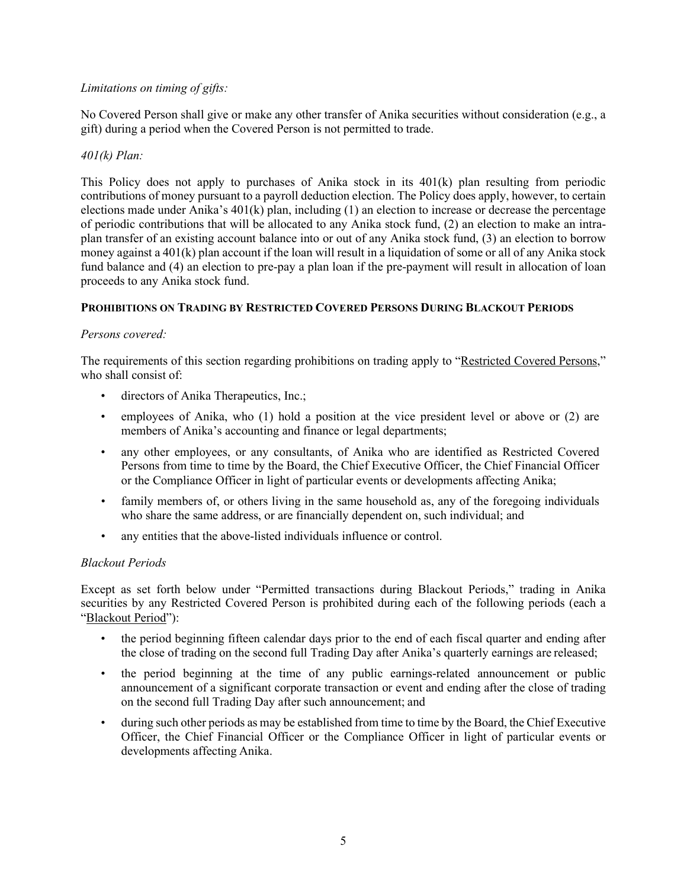# *Limitations on timing of gifts:*

No Covered Person shall give or make any other transfer of Anika securities without consideration (e.g., a gift) during a period when the Covered Person is not permitted to trade.

## *401(k) Plan:*

This Policy does not apply to purchases of Anika stock in its 401(k) plan resulting from periodic contributions of money pursuant to a payroll deduction election. The Policy does apply, however, to certain elections made under Anika's 401(k) plan, including (1) an election to increase or decrease the percentage of periodic contributions that will be allocated to any Anika stock fund, (2) an election to make an intraplan transfer of an existing account balance into or out of any Anika stock fund, (3) an election to borrow money against a 401(k) plan account if the loan will result in a liquidation of some or all of any Anika stock fund balance and (4) an election to pre-pay a plan loan if the pre-payment will result in allocation of loan proceeds to any Anika stock fund.

# **PROHIBITIONS ON TRADING BY RESTRICTED COVERED PERSONS DURING BLACKOUT PERIODS**

# *Persons covered:*

The requirements of this section regarding prohibitions on trading apply to "Restricted Covered Persons," who shall consist of:

- directors of Anika Therapeutics, Inc.;
- employees of Anika, who (1) hold a position at the vice president level or above or (2) are members of Anika's accounting and finance or legal departments;
- any other employees, or any consultants, of Anika who are identified as Restricted Covered Persons from time to time by the Board, the Chief Executive Officer, the Chief Financial Officer or the Compliance Officer in light of particular events or developments affecting Anika;
- family members of, or others living in the same household as, any of the foregoing individuals who share the same address, or are financially dependent on, such individual; and
- any entities that the above-listed individuals influence or control.

## *Blackout Periods*

Except as set forth below under "Permitted transactions during Blackout Periods," trading in Anika securities by any Restricted Covered Person is prohibited during each of the following periods (each a "Blackout Period"):

- the period beginning fifteen calendar days prior to the end of each fiscal quarter and ending after the close of trading on the second full Trading Day after Anika's quarterly earnings are released;
- the period beginning at the time of any public earnings-related announcement or public announcement of a significant corporate transaction or event and ending after the close of trading on the second full Trading Day after such announcement; and
- during such other periods as may be established from time to time by the Board, the Chief Executive Officer, the Chief Financial Officer or the Compliance Officer in light of particular events or developments affecting Anika.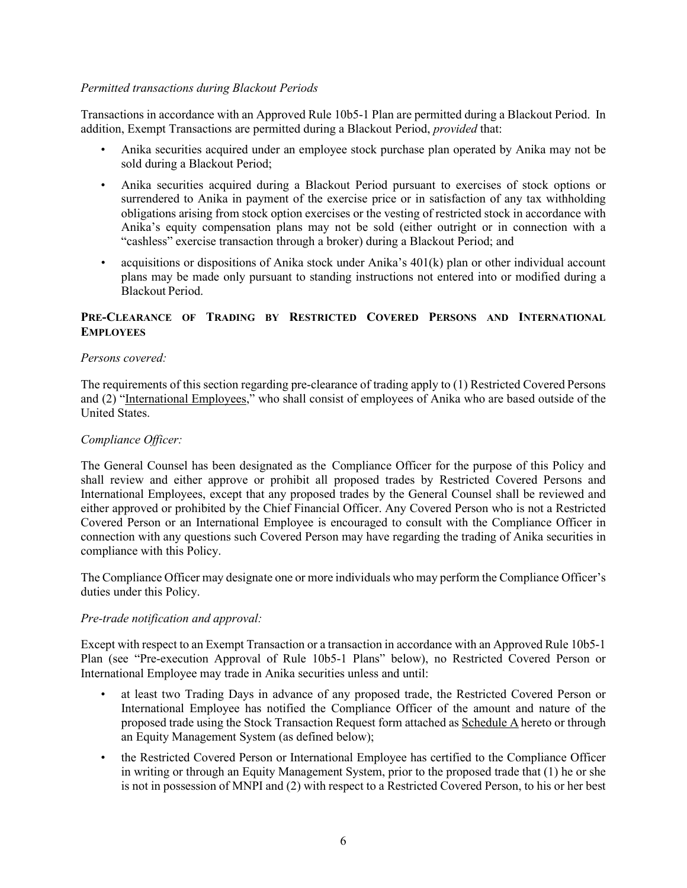## *Permitted transactions during Blackout Periods*

Transactions in accordance with an Approved Rule 10b5-1 Plan are permitted during a Blackout Period. In addition, Exempt Transactions are permitted during a Blackout Period, *provided* that:

- Anika securities acquired under an employee stock purchase plan operated by Anika may not be sold during a Blackout Period;
- Anika securities acquired during a Blackout Period pursuant to exercises of stock options or surrendered to Anika in payment of the exercise price or in satisfaction of any tax withholding obligations arising from stock option exercises or the vesting of restricted stock in accordance with Anika's equity compensation plans may not be sold (either outright or in connection with a "cashless" exercise transaction through a broker) during a Blackout Period; and
- acquisitions or dispositions of Anika stock under Anika's 401(k) plan or other individual account plans may be made only pursuant to standing instructions not entered into or modified during a Blackout Period.

# **PRE-CLEARANCE OF TRADING BY RESTRICTED COVERED PERSONS AND INTERNATIONAL EMPLOYEES**

## *Persons covered:*

The requirements of this section regarding pre-clearance of trading apply to (1) Restricted Covered Persons and (2) "International Employees," who shall consist of employees of Anika who are based outside of the United States.

# *Compliance Officer:*

The General Counsel has been designated as the Compliance Officer for the purpose of this Policy and shall review and either approve or prohibit all proposed trades by Restricted Covered Persons and International Employees, except that any proposed trades by the General Counsel shall be reviewed and either approved or prohibited by the Chief Financial Officer. Any Covered Person who is not a Restricted Covered Person or an International Employee is encouraged to consult with the Compliance Officer in connection with any questions such Covered Person may have regarding the trading of Anika securities in compliance with this Policy.

The Compliance Officer may designate one or more individuals who may perform the Compliance Officer's duties under this Policy.

## *Pre-trade notification and approval:*

Except with respect to an Exempt Transaction or a transaction in accordance with an Approved Rule 10b5-1 Plan (see "Pre-execution Approval of Rule 10b5-1 Plans" below), no Restricted Covered Person or International Employee may trade in Anika securities unless and until:

- at least two Trading Days in advance of any proposed trade, the Restricted Covered Person or International Employee has notified the Compliance Officer of the amount and nature of the proposed trade using the Stock Transaction Request form attached as Schedule A hereto or through an Equity Management System (as defined below);
- the Restricted Covered Person or International Employee has certified to the Compliance Officer in writing or through an Equity Management System, prior to the proposed trade that (1) he or she is not in possession of MNPI and (2) with respect to a Restricted Covered Person, to his or her best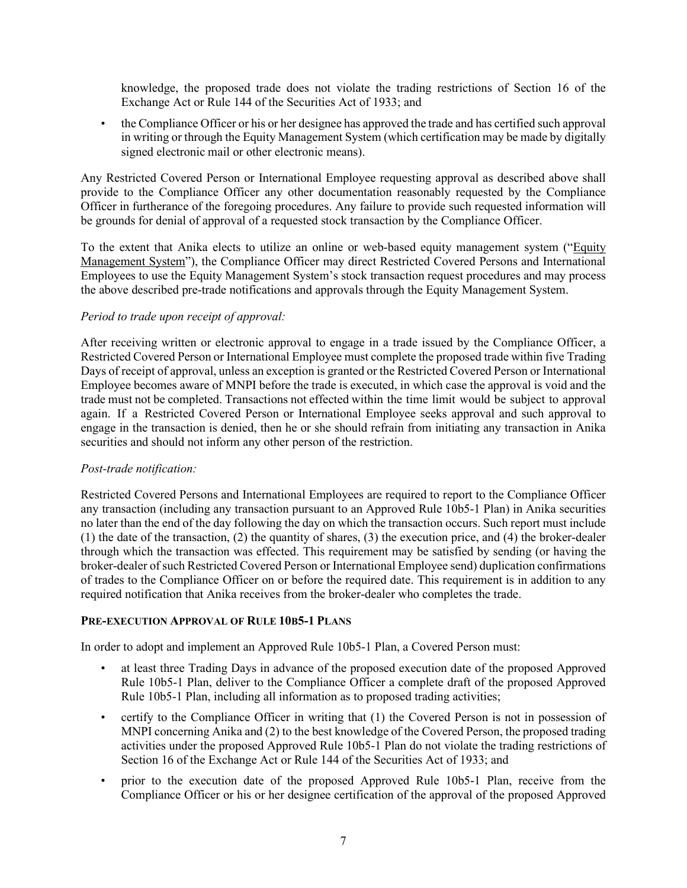knowledge, the proposed trade does not violate the trading restrictions of Section 16 of the Exchange Act or Rule 144 of the Securities Act of 1933; and

• the Compliance Officer or his or her designee has approved the trade and has certified such approval in writing or through the Equity Management System (which certification may be made by digitally signed electronic mail or other electronic means).

Any Restricted Covered Person or International Employee requesting approval as described above shall provide to the Compliance Officer any other documentation reasonably requested by the Compliance Officer in furtherance of the foregoing procedures. Any failure to provide such requested information will be grounds for denial of approval of a requested stock transaction by the Compliance Officer.

To the extent that Anika elects to utilize an online or web-based equity management system ("Equity Management System"), the Compliance Officer may direct Restricted Covered Persons and International Employees to use the Equity Management System's stock transaction request procedures and may process the above described pre-trade notifications and approvals through the Equity Management System.

# *Period to trade upon receipt of approval:*

After receiving written or electronic approval to engage in a trade issued by the Compliance Officer, a Restricted Covered Person or International Employee must complete the proposed trade within five Trading Days of receipt of approval, unless an exception is granted or the Restricted Covered Person or International Employee becomes aware of MNPI before the trade is executed, in which case the approval is void and the trade must not be completed. Transactions not effected within the time limit would be subject to approval again. If a Restricted Covered Person or International Employee seeks approval and such approval to engage in the transaction is denied, then he or she should refrain from initiating any transaction in Anika securities and should not inform any other person of the restriction.

## *Post-trade notification:*

Restricted Covered Persons and International Employees are required to report to the Compliance Officer any transaction (including any transaction pursuant to an Approved Rule 10b5-1 Plan) in Anika securities no later than the end of the day following the day on which the transaction occurs. Such report must include (1) the date of the transaction, (2) the quantity of shares, (3) the execution price, and (4) the broker-dealer through which the transaction was effected. This requirement may be satisfied by sending (or having the broker-dealer of such Restricted Covered Person or International Employee send) duplication confirmations of trades to the Compliance Officer on or before the required date. This requirement is in addition to any required notification that Anika receives from the broker-dealer who completes the trade.

## **PRE-EXECUTION APPROVAL OF RULE 10B5-1 PLANS**

In order to adopt and implement an Approved Rule 10b5-1 Plan, a Covered Person must:

- at least three Trading Days in advance of the proposed execution date of the proposed Approved Rule 10b5-1 Plan, deliver to the Compliance Officer a complete draft of the proposed Approved Rule 10b5-1 Plan, including all information as to proposed trading activities;
- certify to the Compliance Officer in writing that (1) the Covered Person is not in possession of MNPI concerning Anika and (2) to the best knowledge of the Covered Person, the proposed trading activities under the proposed Approved Rule 10b5-1 Plan do not violate the trading restrictions of Section 16 of the Exchange Act or Rule 144 of the Securities Act of 1933; and
- prior to the execution date of the proposed Approved Rule 10b5-1 Plan, receive from the Compliance Officer or his or her designee certification of the approval of the proposed Approved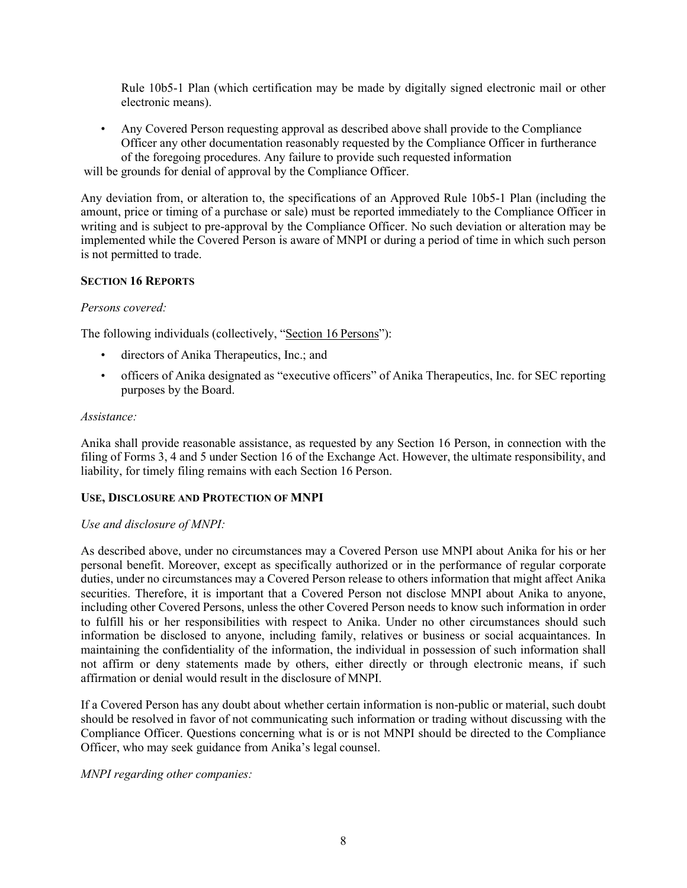Rule 10b5-1 Plan (which certification may be made by digitally signed electronic mail or other electronic means).

• Any Covered Person requesting approval as described above shall provide to the Compliance Officer any other documentation reasonably requested by the Compliance Officer in furtherance of the foregoing procedures. Any failure to provide such requested information

will be grounds for denial of approval by the Compliance Officer.

Any deviation from, or alteration to, the specifications of an Approved Rule 10b5-1 Plan (including the amount, price or timing of a purchase or sale) must be reported immediately to the Compliance Officer in writing and is subject to pre-approval by the Compliance Officer. No such deviation or alteration may be implemented while the Covered Person is aware of MNPI or during a period of time in which such person is not permitted to trade.

# **SECTION 16 REPORTS**

## *Persons covered:*

The following individuals (collectively, "Section 16 Persons"):

- directors of Anika Therapeutics, Inc.; and
- officers of Anika designated as "executive officers" of Anika Therapeutics, Inc. for SEC reporting purposes by the Board.

## *Assistance:*

Anika shall provide reasonable assistance, as requested by any Section 16 Person, in connection with the filing of Forms 3, 4 and 5 under Section 16 of the Exchange Act. However, the ultimate responsibility, and liability, for timely filing remains with each Section 16 Person.

## **USE, DISCLOSURE AND PROTECTION OF MNPI**

## *Use and disclosure of MNPI:*

As described above, under no circumstances may a Covered Person use MNPI about Anika for his or her personal benefit. Moreover, except as specifically authorized or in the performance of regular corporate duties, under no circumstances may a Covered Person release to others information that might affect Anika securities. Therefore, it is important that a Covered Person not disclose MNPI about Anika to anyone, including other Covered Persons, unless the other Covered Person needs to know such information in order to fulfill his or her responsibilities with respect to Anika. Under no other circumstances should such information be disclosed to anyone, including family, relatives or business or social acquaintances. In maintaining the confidentiality of the information, the individual in possession of such information shall not affirm or deny statements made by others, either directly or through electronic means, if such affirmation or denial would result in the disclosure of MNPI.

If a Covered Person has any doubt about whether certain information is non-public or material, such doubt should be resolved in favor of not communicating such information or trading without discussing with the Compliance Officer. Questions concerning what is or is not MNPI should be directed to the Compliance Officer, who may seek guidance from Anika's legal counsel.

*MNPI regarding other companies:*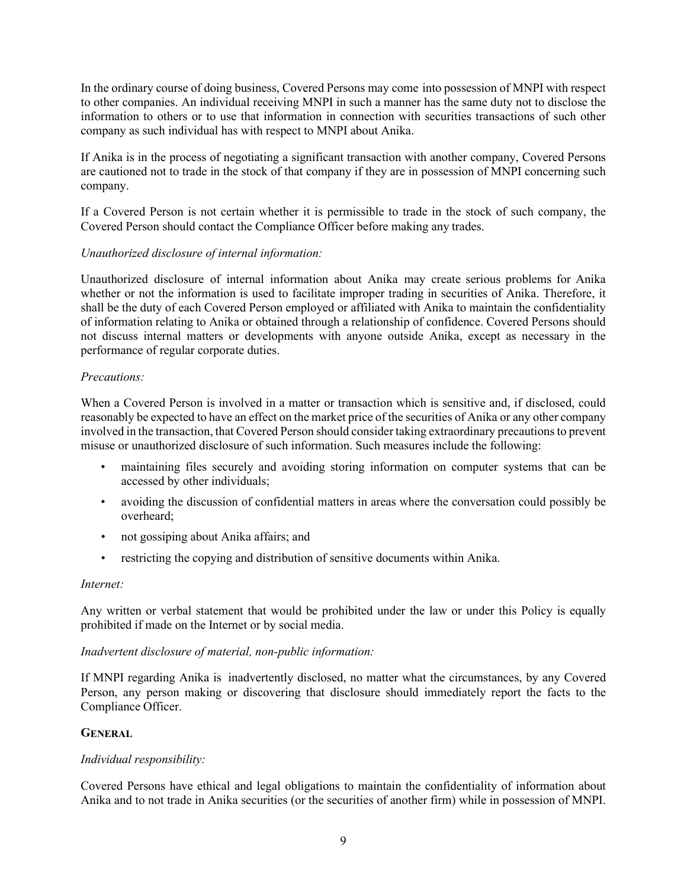In the ordinary course of doing business, Covered Persons may come into possession of MNPI with respect to other companies. An individual receiving MNPI in such a manner has the same duty not to disclose the information to others or to use that information in connection with securities transactions of such other company as such individual has with respect to MNPI about Anika.

If Anika is in the process of negotiating a significant transaction with another company, Covered Persons are cautioned not to trade in the stock of that company if they are in possession of MNPI concerning such company.

If a Covered Person is not certain whether it is permissible to trade in the stock of such company, the Covered Person should contact the Compliance Officer before making any trades.

# *Unauthorized disclosure of internal information:*

Unauthorized disclosure of internal information about Anika may create serious problems for Anika whether or not the information is used to facilitate improper trading in securities of Anika. Therefore, it shall be the duty of each Covered Person employed or affiliated with Anika to maintain the confidentiality of information relating to Anika or obtained through a relationship of confidence. Covered Persons should not discuss internal matters or developments with anyone outside Anika, except as necessary in the performance of regular corporate duties.

## *Precautions:*

When a Covered Person is involved in a matter or transaction which is sensitive and, if disclosed, could reasonably be expected to have an effect on the market price of the securities of Anika or any other company involved in the transaction, that Covered Person should consider taking extraordinary precautions to prevent misuse or unauthorized disclosure of such information. Such measures include the following:

- maintaining files securely and avoiding storing information on computer systems that can be accessed by other individuals;
- avoiding the discussion of confidential matters in areas where the conversation could possibly be overheard;
- not gossiping about Anika affairs; and
- restricting the copying and distribution of sensitive documents within Anika.

## *Internet:*

Any written or verbal statement that would be prohibited under the law or under this Policy is equally prohibited if made on the Internet or by social media.

## *Inadvertent disclosure of material, non-public information:*

If MNPI regarding Anika is inadvertently disclosed, no matter what the circumstances, by any Covered Person, any person making or discovering that disclosure should immediately report the facts to the Compliance Officer.

## **GENERAL**

## *Individual responsibility:*

Covered Persons have ethical and legal obligations to maintain the confidentiality of information about Anika and to not trade in Anika securities (or the securities of another firm) while in possession of MNPI.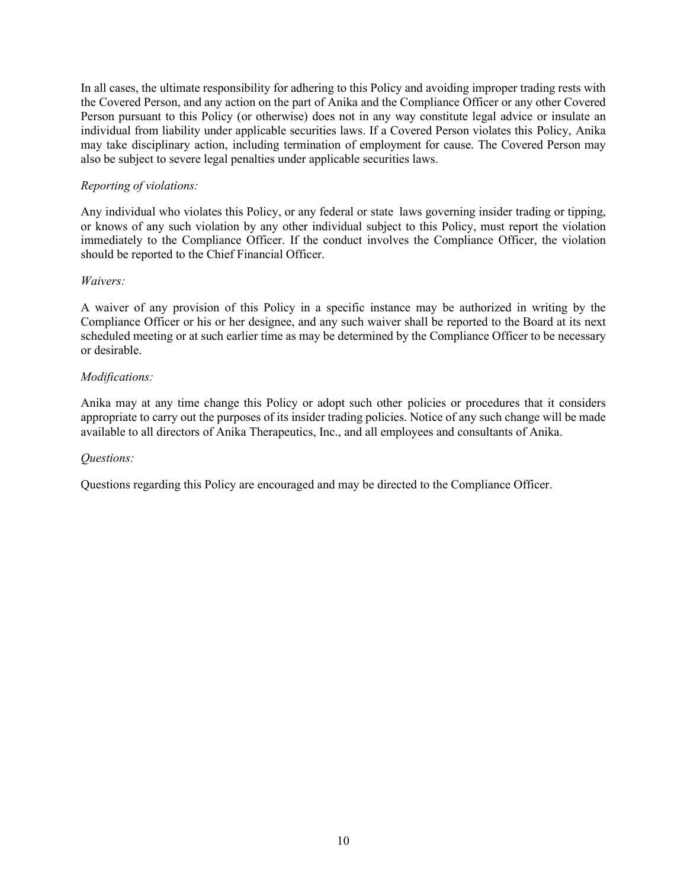In all cases, the ultimate responsibility for adhering to this Policy and avoiding improper trading rests with the Covered Person, and any action on the part of Anika and the Compliance Officer or any other Covered Person pursuant to this Policy (or otherwise) does not in any way constitute legal advice or insulate an individual from liability under applicable securities laws. If a Covered Person violates this Policy, Anika may take disciplinary action, including termination of employment for cause. The Covered Person may also be subject to severe legal penalties under applicable securities laws.

# *Reporting of violations:*

Any individual who violates this Policy, or any federal or state laws governing insider trading or tipping, or knows of any such violation by any other individual subject to this Policy, must report the violation immediately to the Compliance Officer. If the conduct involves the Compliance Officer, the violation should be reported to the Chief Financial Officer.

## *Waivers:*

A waiver of any provision of this Policy in a specific instance may be authorized in writing by the Compliance Officer or his or her designee, and any such waiver shall be reported to the Board at its next scheduled meeting or at such earlier time as may be determined by the Compliance Officer to be necessary or desirable.

## *Modifications:*

Anika may at any time change this Policy or adopt such other policies or procedures that it considers appropriate to carry out the purposes of its insider trading policies. Notice of any such change will be made available to all directors of Anika Therapeutics, Inc., and all employees and consultants of Anika.

## *Questions:*

Questions regarding this Policy are encouraged and may be directed to the Compliance Officer.